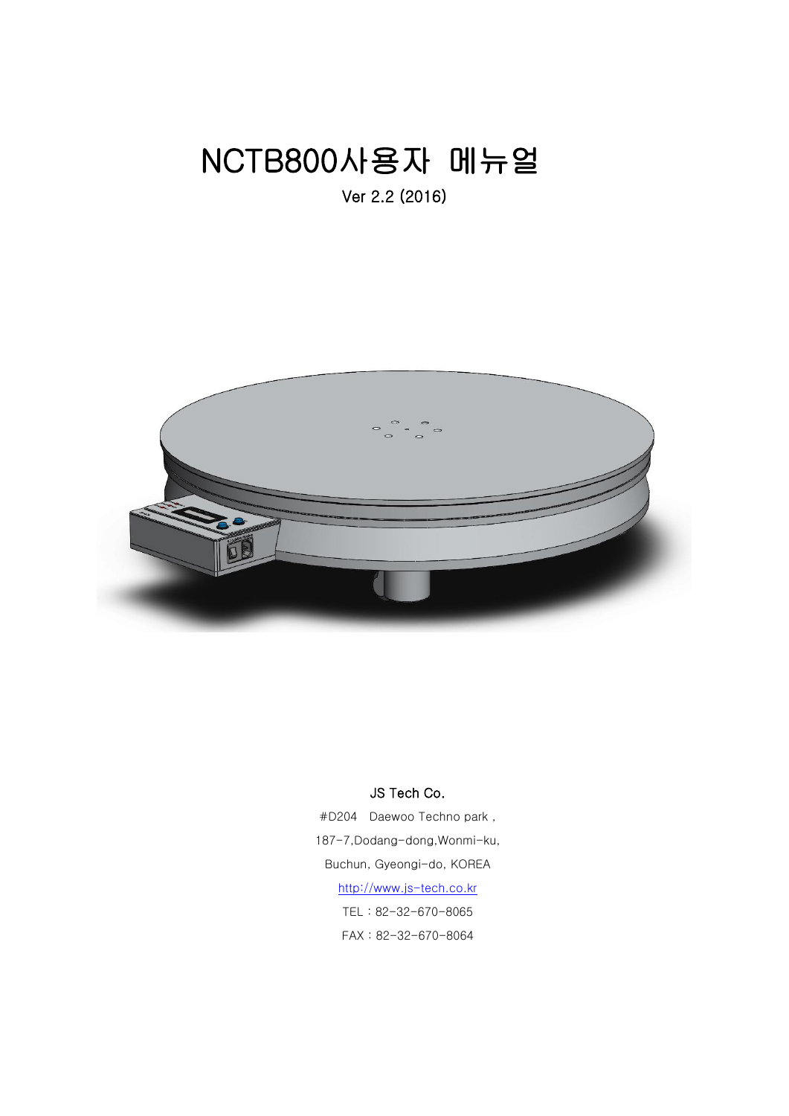# NCTB800사용자 메뉴얼

Ver 2.2 (2016)



# JS Tech Co.

#D204 Daewoo Techno park , 187-7,Dodang-dong,Wonmi-ku, Buchun, Gyeongi-do, KOREA [http://www.js-tech.co.kr](http://www.js-tech.co.kr/) TEL : 82-32-670-8065 FAX : 82-32-670-8064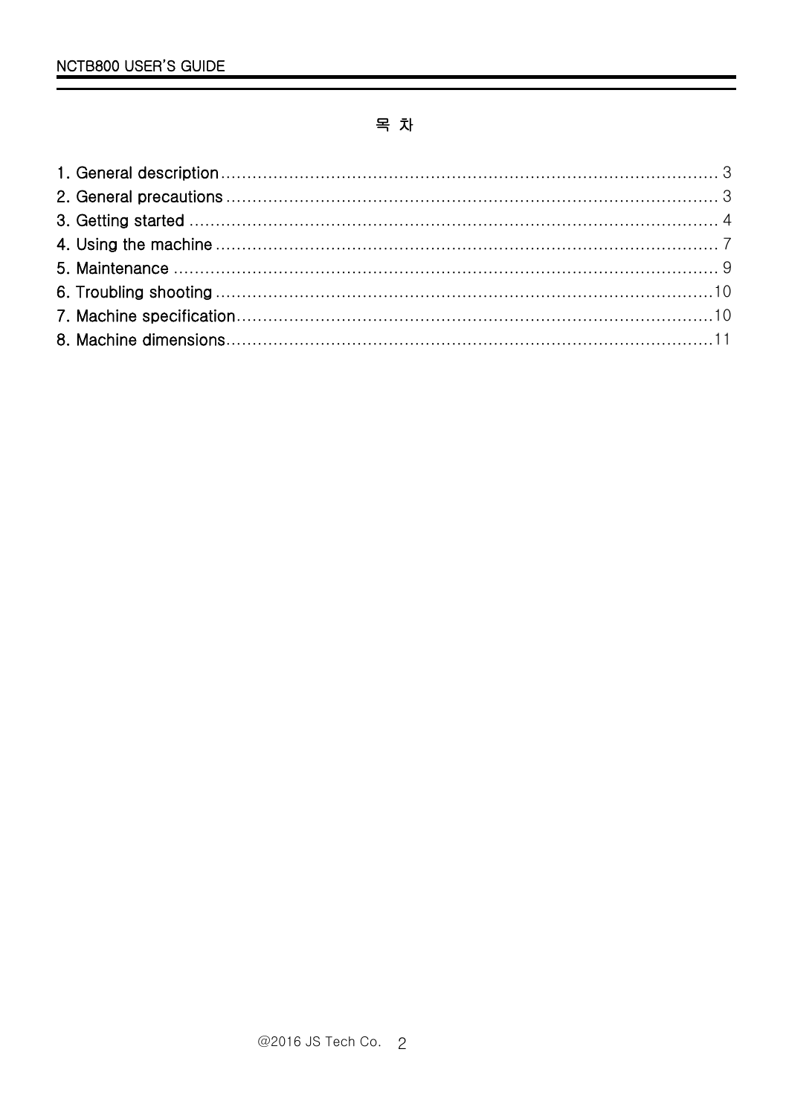# 목 차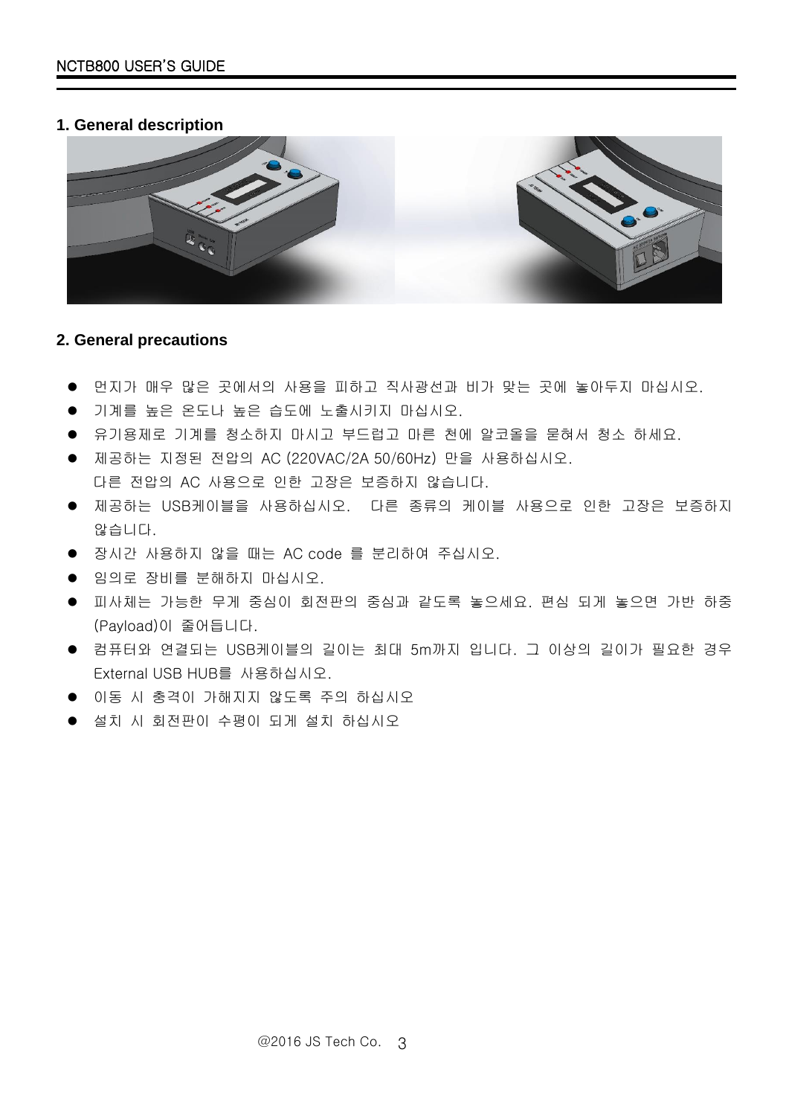# <span id="page-2-0"></span>**1. General description**



# <span id="page-2-1"></span>**2. General precautions**

- 먼지가 매우 많은 곳에서의 사용을 피하고 직사광선과 비가 맞는 곳에 놓아두지 마십시오.
- 기계를 높은 온도나 높은 습도에 노출시키지 마십시오.
- 유기용제로 기계를 청소하지 마시고 부드럽고 마른 천에 알코올을 묻혀서 청소 하세요.
- 제공하는 지정된 전압의 AC (220VAC/2A 50/60Hz) 만을 사용하십시오. 다른 전압의 AC 사용으로 인한 고장은 보증하지 않습니다.
- 제공하는 USB케이블을 사용하십시오. 다른 종류의 케이블 사용으로 인한 고장은 보증하지 않습니다.
- 장시간 사용하지 않을 때는 AC code 를 분리하여 주십시오.
- 임의로 장비를 분해하지 마십시오.
- 피사체는 가능한 무게 중심이 회전판의 중심과 같도록 놓으세요. 편심 되게 놓으면 가반 하중 (Payload)이 줄어듭니다.
- 컴퓨터와 연결되는 USB케이블의 길이는 최대 5m까지 입니다. 그 이상의 길이가 필요한 경우 External USB HUB를 사용하십시오.
- 이동 시 충격이 가해지지 않도록 주의 하십시오
- 설치 시 회전판이 수평이 되게 설치 하십시오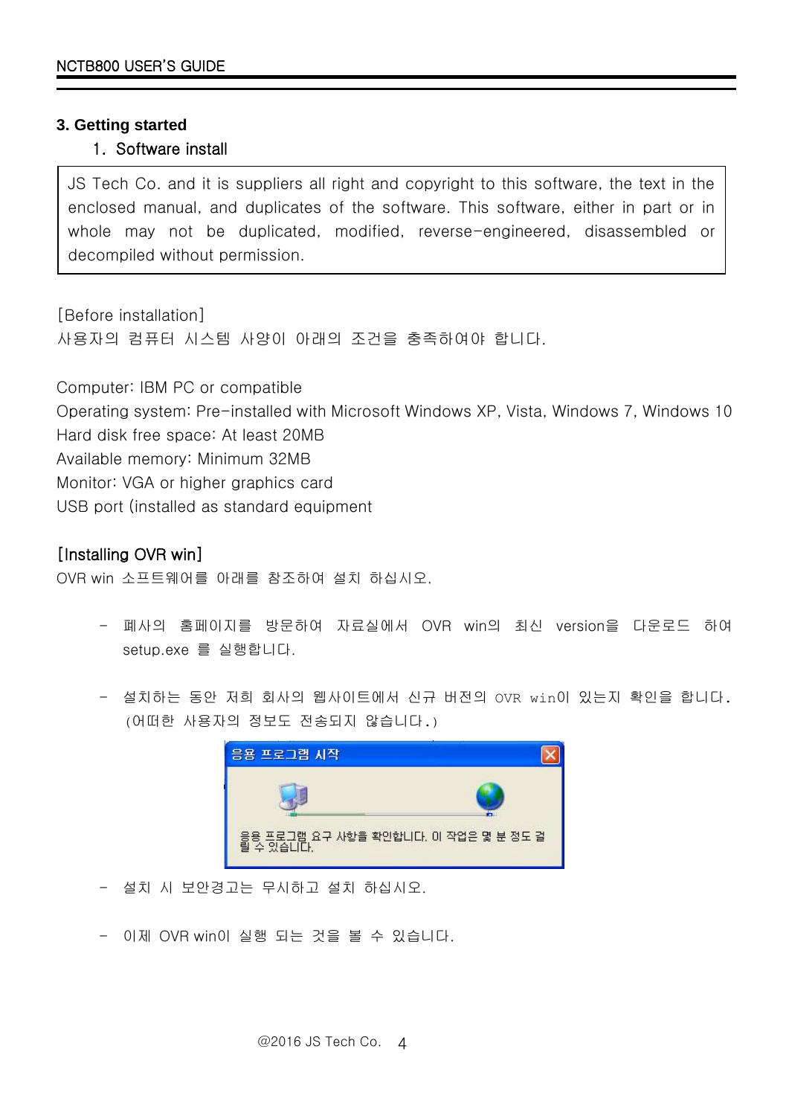## <span id="page-3-0"></span>**3. Getting started**

## 1. Software install

JS Tech Co. and it is suppliers all right and copyright to this software, the text in the enclosed manual, and duplicates of the software. This software, either in part or in whole may not be duplicated, modified, reverse-engineered, disassembled or decompiled without permission.

[Before installation] 사용자의 컴퓨터 시스템 사양이 아래의 조건을 충족하여야 합니다.

Computer: IBM PC or compatible Operating system: Pre-installed with Microsoft Windows XP, Vista, Windows 7, Windows 10 Hard disk free space: At least 20MB Available memory: Minimum 32MB

Monitor: VGA or higher graphics card

USB port (installed as standard equipment

# [Installing OVR win]

OVR win 소프트웨어를 아래를 참조하여 설치 하십시오.

- 폐사의 홈페이지를 방문하여 자료실에서 OVR win의 최신 version을 다운로드 하여 setup.exe 를 실행합니다.
- 설치하는 동안 저희 회사의 웹사이트에서 신규 버전의 OVR win이 있는지 확인을 합니다. (어떠한 사용자의 정보도 전송되지 않습니다.)



- 설치 시 보안경고는 무시하고 설치 하십시오.
- 이제 OVR win이 실행 되는 것을 볼 수 있습니다.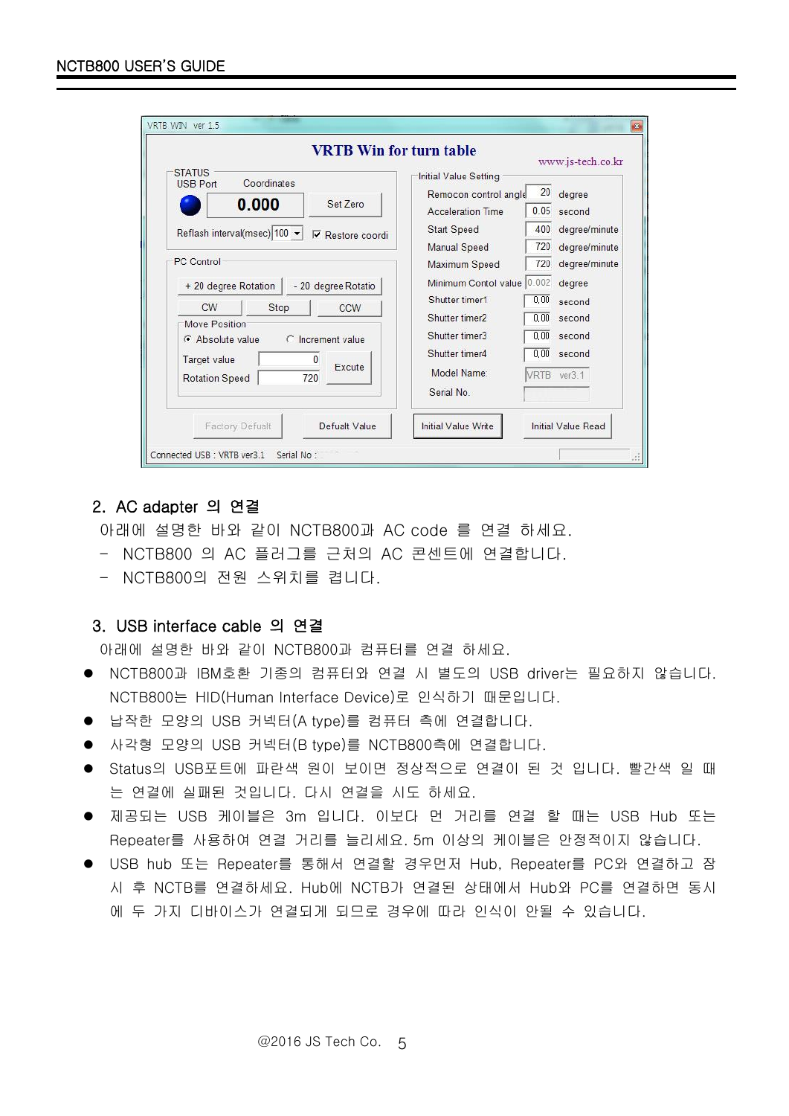| <b>VRTB Win for turn table</b>                                                                                              |                                                                                           |                      | www.js-tech.co.kr                           |
|-----------------------------------------------------------------------------------------------------------------------------|-------------------------------------------------------------------------------------------|----------------------|---------------------------------------------|
| <b>STATUS</b><br>Coordinates<br>USB Port<br>0.000<br>Set Zero                                                               | Initial Value Setting<br>Remocon control angle<br><b>Acceleration Time</b><br>Start Speed | 20<br>400            | degree<br>$0.05$ second<br>degree/minute    |
| Reflash interval(msec) 100 -<br><b>▽</b> Restore coordi<br><b>PC</b> Control<br>+ 20 degree Rotation<br>- 20 degree Rotatio | <b>Manual Speed</b><br>Maximum Speed<br>Minimum Contol value 0.002                        | 720<br>720           | degree/minute<br>degree/minute<br>degree    |
| CW<br>Stop<br>CCW<br>Move Position:<br>C Increment value<br>C Absolute value                                                | Shutter timer1<br>Shutter timer2<br>Shutter timer3<br>Shutter timer4                      | 0,00<br>0.00<br>0.00 | second<br>second<br>$0.00$ second<br>second |
| Target value<br>0<br>Excute<br>720<br><b>Rotation Speed</b><br>Defualt Value<br><b>Factory Defualt</b>                      | Model Name:<br>Serial No<br><b>Initial Value Write</b>                                    |                      | VRTB ver3.1<br>Initial Value Read           |

#### 2. AC adapter 의 연결

아래에 설명한 바와 같이 NCTB800과 AC code 를 연결 하세요.

- NCTB800 의 AC 플러그를 근처의 AC 콘센트에 연결합니다.
- NCTB800의 전원 스위치를 켭니다.

#### 3. USB interface cable 의 연결

아래에 설명한 바와 같이 NCTB800과 컴퓨터를 연결 하세요.

- NCTB800과 IBM호환 기종의 컴퓨터와 연결 시 별도의 USB driver는 필요하지 않습니다. NCTB800는 HID(Human Interface Device)로 인식하기 때문입니다.
- 납작한 모양의 USB 커넥터(A type)를 컴퓨터 측에 연결합니다.
- 사각형 모양의 USB 커넥터(B type)를 NCTB800측에 연결합니다.
- Status의 USB포트에 파란색 원이 보이면 정상적으로 연결이 된 것 입니다. 빨간색 일 때 는 연결에 실패된 것입니다. 다시 연결을 시도 하세요.
- 제공되는 USB 케이블은 3m 입니다. 이보다 먼 거리를 연결 할 때는 USB Hub 또는 Repeater를 사용하여 연결 거리를 늘리세요. 5m 이상의 케이블은 안정적이지 않습니다.
- USB hub 또는 Repeater를 통해서 연결할 경우먼저 Hub, Repeater를 PC와 연결하고 잠 시 후 NCTB를 연결하세요. Hub에 NCTB가 연결된 상태에서 Hub와 PC를 연결하면 동시 에 두 가지 디바이스가 연결되게 되므로 경우에 따라 인식이 안될 수 있습니다.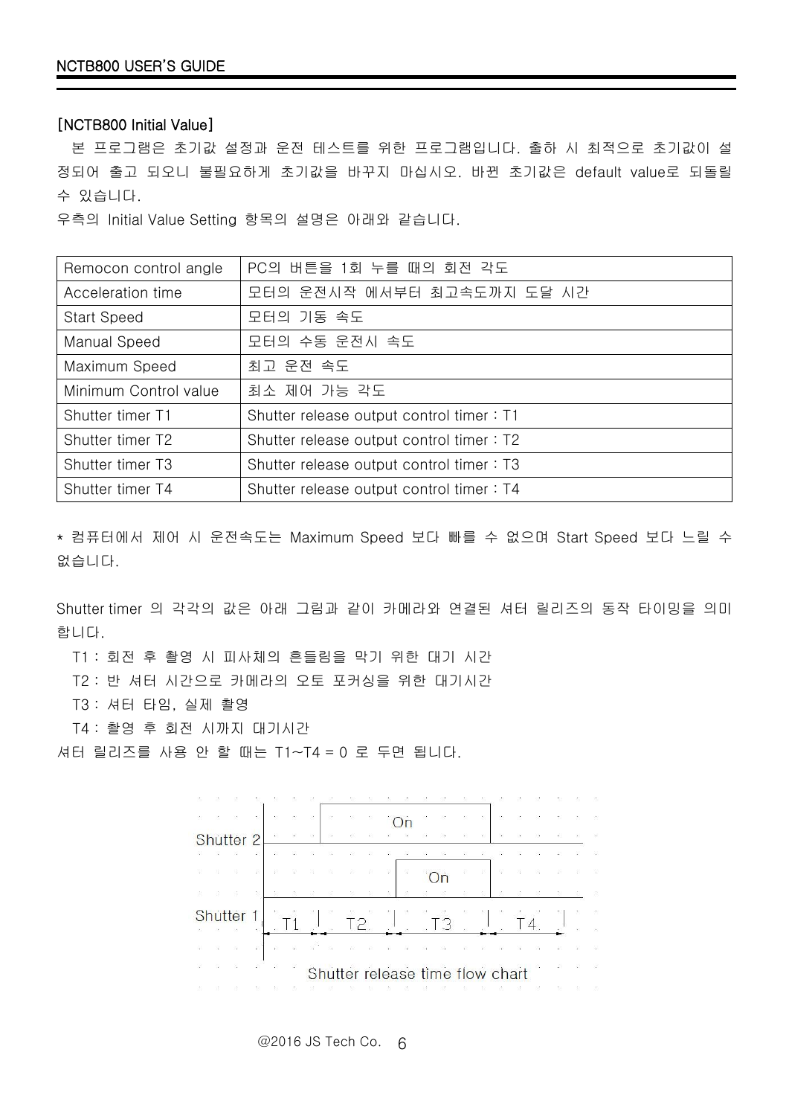#### [NCTB800 Initial Value]

본 프로그램은 초기값 설정과 운전 테스트를 위한 프로그램입니다. 출하 시 최적으로 초기값이 설 정되어 출고 되오니 불필요하게 초기값을 바꾸지 마십시오. 바뀐 초기값은 default value로 되돌릴 수 있습니다.

우측의 Initial Value Setting 항목의 설명은 아래와 같습니다.

| Remocon control angle | PC의 버튼을 1회 누를 때의 회전 각도                   |  |
|-----------------------|------------------------------------------|--|
| Acceleration time     | 모터의 운전시작 에서부터 최고속도까지 도달 시간               |  |
| <b>Start Speed</b>    | 모터의 기동 속도                                |  |
| Manual Speed          | 모터의 수동 운전시 속도                            |  |
| Maximum Speed         | 최고 운전 속도                                 |  |
| Minimum Control value | 최소 제어 가능 각도                              |  |
| Shutter timer T1      | Shutter release output control timer: T1 |  |
| Shutter timer T2      | Shutter release output control timer: T2 |  |
| Shutter timer T3      | Shutter release output control timer: T3 |  |
| Shutter timer T4      | Shutter release output control timer: T4 |  |

\* 컴퓨터에서 제어 시 운전속도는 Maximum Speed 보다 빠를 수 없으며 Start Speed 보다 느릴 수 없습니다.

Shutter timer 의 각각의 값은 아래 그림과 같이 카메라와 연결된 셔터 릴리즈의 동작 타이밍을 의미 합니다.

T1 : 회전 후 촬영 시 피사체의 흔들림을 막기 위한 대기 시간

T2 : 반 셔터 시간으로 카메라의 오토 포커싱을 위한 대기시간

T3 : 셔터 타임, 실제 촬영

T4 : 촬영 후 회전 시까지 대기시간

셔터 릴리즈를 사용 안 할 때는 T1~T4 = 0 로 두면 됩니다.

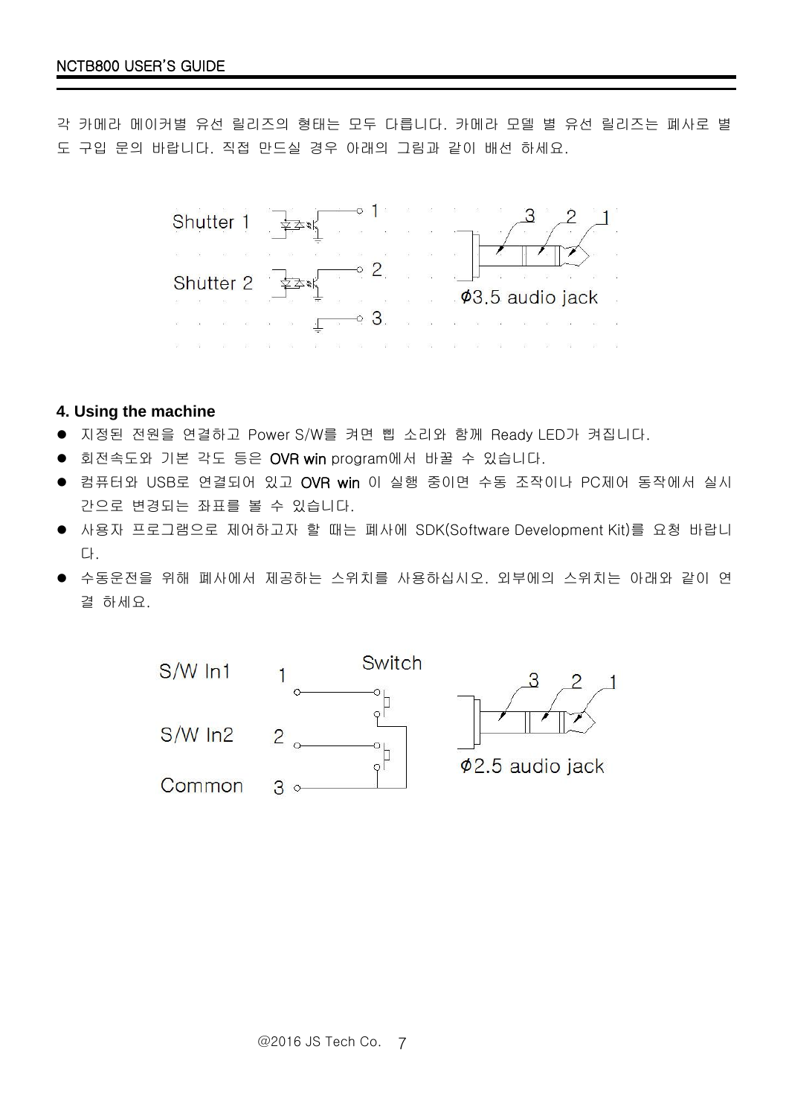각 카메라 메이커별 유선 릴리즈의 형태는 모두 다릅니다. 카메라 모델 별 유선 릴리즈는 폐사로 별 도 구입 문의 바랍니다. 직접 만드실 경우 아래의 그림과 같이 배선 하세요.



- <span id="page-6-0"></span>**4. Using the machine**
- 지정된 전원을 연결하고 Power S/W를 켜면 삡 소리와 함께 Ready LED가 켜집니다.
- 회전속도와 기본 각도 등은 OVR win program에서 바꿀 수 있습니다.
- 컴퓨터와 USB로 연결되어 있고 OVR win 이 실행 중이면 수동 조작이나 PC제어 동작에서 실시 간으로 변경되는 좌표를 볼 수 있습니다.
- 사용자 프로그램으로 제어하고자 할 때는 폐사에 SDK(Software Development Kit)를 요청 바랍니 다.
- 수동운전을 위해 폐사에서 제공하는 스위치를 사용하십시오. 외부에의 스위치는 아래와 같이 연 결 하세요.

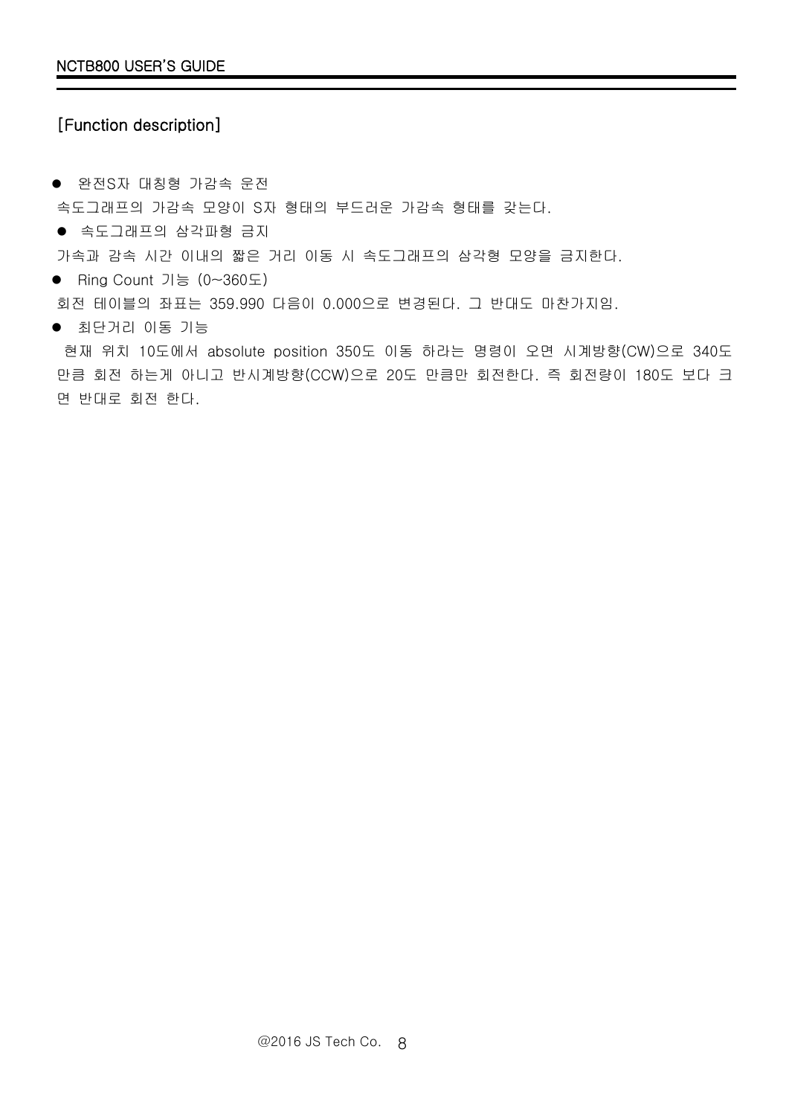# [Function description]

● 완전S자 대칭형 가감속 운전 속도그래프의 가감속 모양이 S자 형태의 부드러운 가감속 형태를 갖는다.

속도그래프의 삼각파형 금지

가속과 감속 시간 이내의 짧은 거리 이동 시 속도그래프의 삼각형 모양을 금지한다.

Ring Count 기능 (0~360도)

회전 테이블의 좌표는 359.990 다음이 0.000으로 변경된다. 그 반대도 마찬가지임.

최단거리 이동 기능

현재 위치 10도에서 absolute position 350도 이동 하라는 명령이 오면 시계방향(CW)으로 340도 만큼 회전 하는게 아니고 반시계방향(CCW)으로 20도 만큼만 회전한다. 즉 회전량이 180도 보다 크 면 반대로 회전 한다.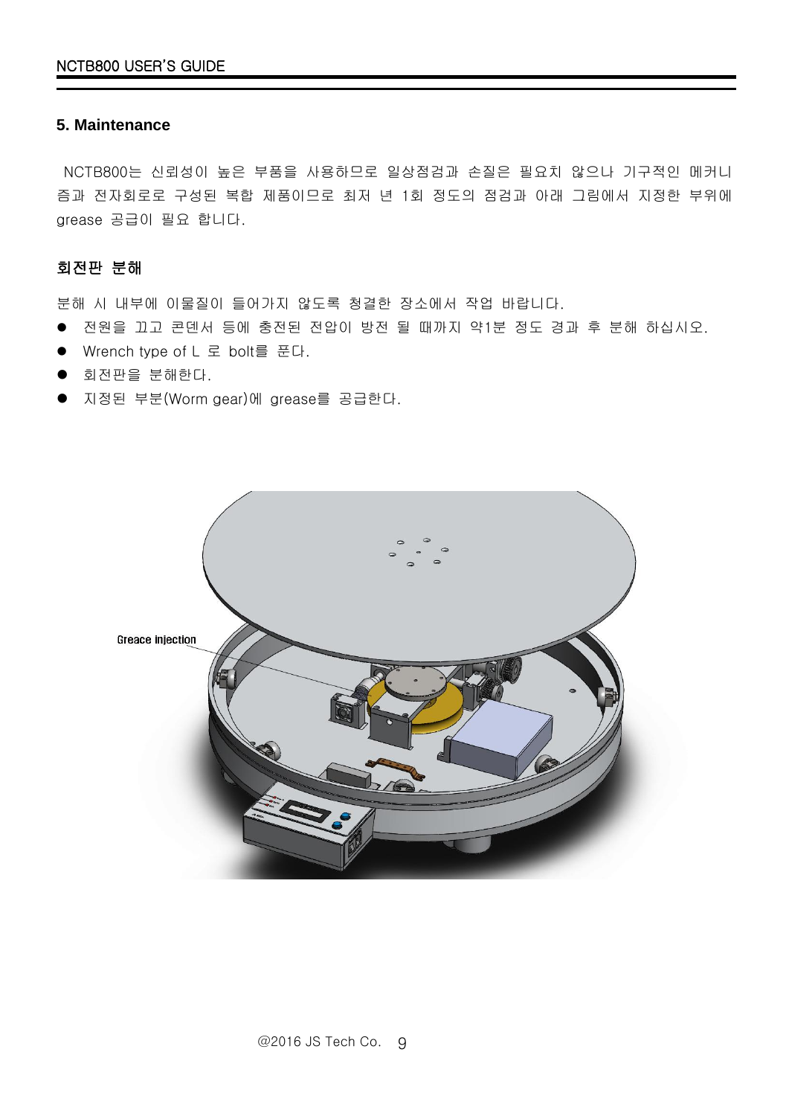#### <span id="page-8-0"></span>**5. Maintenance**

NCTB800는 신뢰성이 높은 부품을 사용하므로 일상점검과 손질은 필요치 않으나 기구적인 메커니 즘과 전자회로로 구성된 복합 제품이므로 최저 년 1회 정도의 점검과 아래 그림에서 지정한 부위에 grease 공급이 필요 합니다.

#### 회전판 분해

분해 시 내부에 이물질이 들어가지 않도록 청결한 장소에서 작업 바랍니다.

- 전원을 끄고 콘덴서 등에 충전된 전압이 방전 될 때까지 약1분 정도 경과 후 분해 하십시오.
- Wrench type of L 로 bolt를 푼다.
- 회전판을 분해한다.
- 지정된 부분(Worm gear)에 grease를 공급한다.

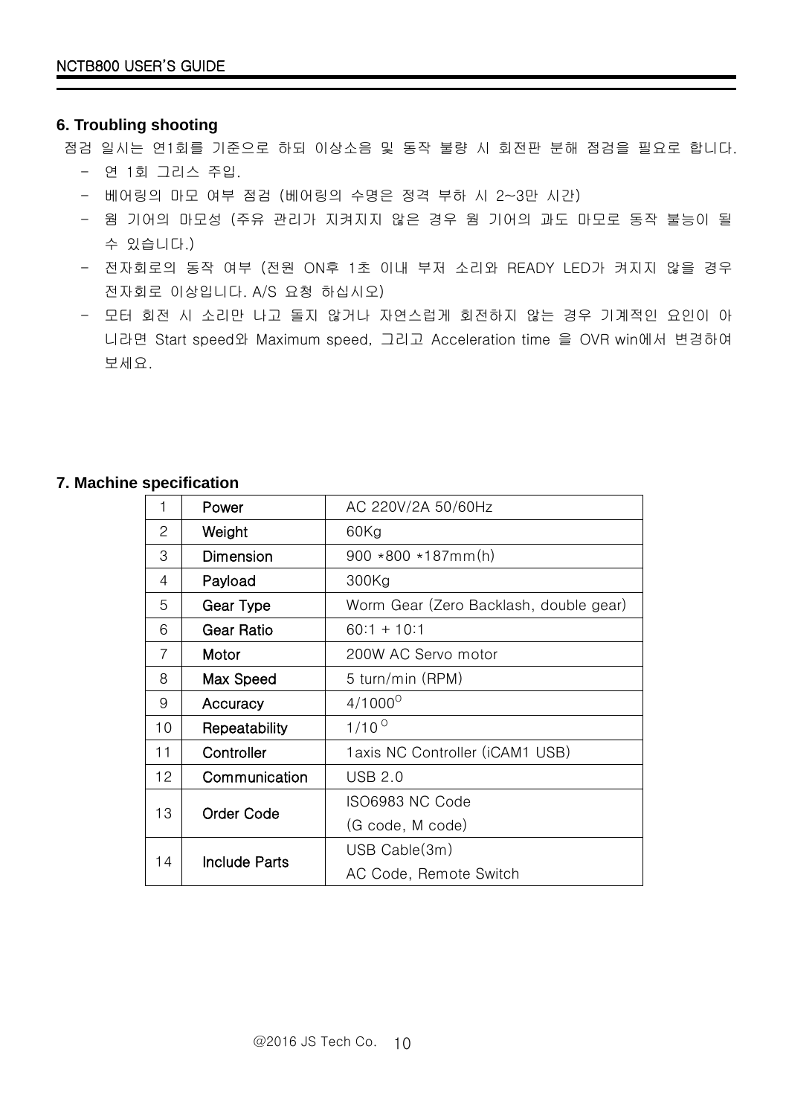## <span id="page-9-0"></span>**6. Troubling shooting**

점검 일시는 연1회를 기준으로 하되 이상소음 및 동작 불량 시 회전판 분해 점검을 필요로 합니다.

- 연 1회 그리스 주입.
- 베어링의 마모 여부 점검 (베어링의 수명은 정격 부하 시 2~3만 시간)
- 웜 기어의 마모성 (주유 관리가 지켜지지 않은 경우 웜 기어의 과도 마모로 동작 불능이 될 수 있습니다.)
- 전자회로의 동작 여부 (전원 ON후 1초 이내 부저 소리와 READY LED가 켜지지 않을 경우 전자회로 이상입니다. A/S 요청 하십시오)
- 모터 회전 시 소리만 나고 돌지 않거나 자연스럽게 회전하지 않는 경우 기계적인 요인이 아 니라면 Start speed와 Maximum speed, 그리고 Acceleration time 을 OVR win에서 변경하여 보세요.

#### <span id="page-9-1"></span>**7. Machine specification**

| 1  | Power                | AC 220V/2A 50/60Hz                     |
|----|----------------------|----------------------------------------|
| 2  | Weight               | $60$ Kg                                |
| 3  | Dimension            | $900 * 800 * 187mm(h)$                 |
| 4  | Payload              | 300Kg                                  |
| 5  | Gear Type            | Worm Gear (Zero Backlash, double gear) |
| 6  | <b>Gear Ratio</b>    | $60.1 + 10.1$                          |
| 7  | Motor                | 200W AC Servo motor                    |
| 8  | Max Speed            | 5 turn/min (RPM)                       |
| 9  | Accuracy             | $4/1000^{\circ}$                       |
| 10 | Repeatability        | $1/10^{0}$                             |
| 11 | Controller           | 1 axis NC Controller (iCAM1 USB)       |
| 12 | Communication        | <b>USB 2.0</b>                         |
| 13 | Order Code           | ISO6983 NC Code                        |
|    |                      | (G code, M code)                       |
| 14 | <b>Include Parts</b> | USB Cable(3m)                          |
|    |                      | AC Code, Remote Switch                 |